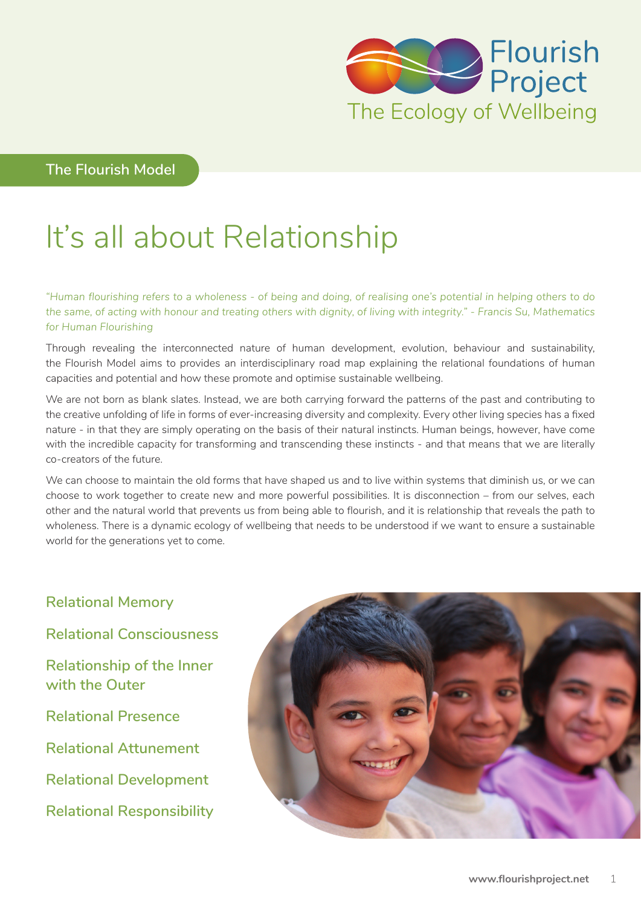

**The Flourish Model**

# It's all about Relationship

*"Human flourishing refers to a wholeness - of being and doing, of realising one's potential in helping others to do the same, of acting with honour and treating others with dignity, of living with integrity." - Francis Su, Mathematics for Human Flourishing*

Through revealing the interconnected nature of human development, evolution, behaviour and sustainability, the Flourish Model aims to provides an interdisciplinary road map explaining the relational foundations of human capacities and potential and how these promote and optimise sustainable wellbeing.

We are not born as blank slates. Instead, we are both carrying forward the patterns of the past and contributing to the creative unfolding of life in forms of ever-increasing diversity and complexity. Every other living species has a fixed nature - in that they are simply operating on the basis of their natural instincts. Human beings, however, have come with the incredible capacity for transforming and transcending these instincts - and that means that we are literally co-creators of the future.

We can choose to maintain the old forms that have shaped us and to live within systems that diminish us, or we can choose to work together to create new and more powerful possibilities. It is disconnection – from our selves, each other and the natural world that prevents us from being able to flourish, and it is relationship that reveals the path to wholeness. There is a dynamic ecology of wellbeing that needs to be understood if we want to ensure a sustainable world for the generations yet to come.

**Relational Memory Relational Consciousness Relationship of the Inner with the Outer Relational Presence Relational Attunement Relational Development Relational Responsibility**

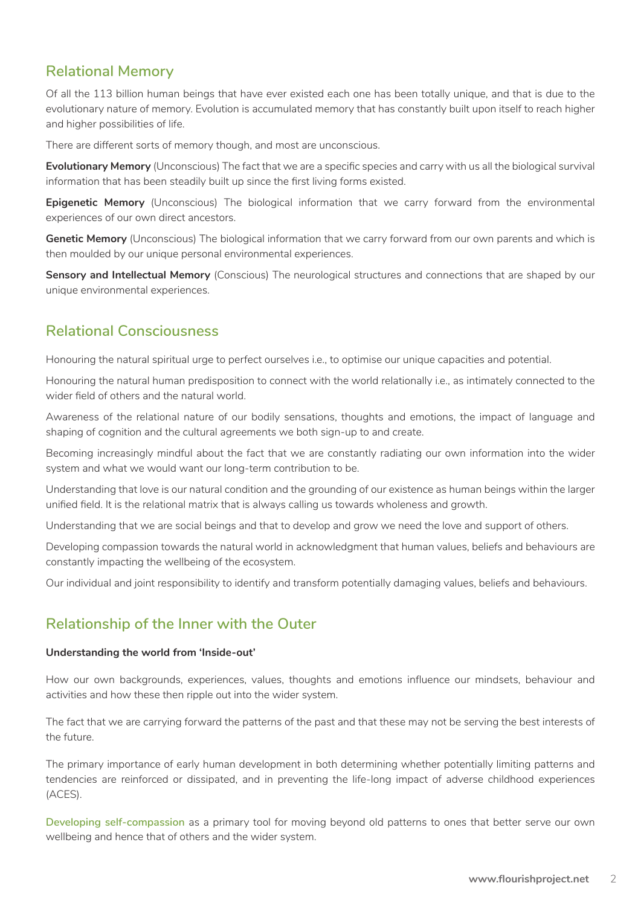## **Relational Memory**

Of all the 113 billion human beings that have ever existed each one has been totally unique, and that is due to the evolutionary nature of memory. Evolution is accumulated memory that has constantly built upon itself to reach higher and higher possibilities of life.

There are different sorts of memory though, and most are unconscious.

**Evolutionary Memory** (Unconscious) The fact that we are a specific species and carry with us all the biological survival information that has been steadily built up since the first living forms existed.

**Epigenetic Memory** (Unconscious) The biological information that we carry forward from the environmental experiences of our own direct ancestors.

**Genetic Memory** (Unconscious) The biological information that we carry forward from our own parents and which is then moulded by our unique personal environmental experiences.

**Sensory and Intellectual Memory** (Conscious) The neurological structures and connections that are shaped by our unique environmental experiences.

## **Relational Consciousness**

Honouring the natural spiritual urge to perfect ourselves i.e., to optimise our unique capacities and potential.

Honouring the natural human predisposition to connect with the world relationally i.e., as intimately connected to the wider field of others and the natural world.

Awareness of the relational nature of our bodily sensations, thoughts and emotions, the impact of language and shaping of cognition and the cultural agreements we both sign-up to and create.

Becoming increasingly mindful about the fact that we are constantly radiating our own information into the wider system and what we would want our long-term contribution to be.

Understanding that love is our natural condition and the grounding of our existence as human beings within the larger unified field. It is the relational matrix that is always calling us towards wholeness and growth.

Understanding that we are social beings and that to develop and grow we need the love and support of others.

Developing compassion towards the natural world in acknowledgment that human values, beliefs and behaviours are constantly impacting the wellbeing of the ecosystem.

Our individual and joint responsibility to identify and transform potentially damaging values, beliefs and behaviours.

## **Relationship of the Inner with the Outer**

#### **Understanding the world from 'Inside-out'**

How our own backgrounds, experiences, values, thoughts and emotions influence our mindsets, behaviour and activities and how these then ripple out into the wider system.

The fact that we are carrying forward the patterns of the past and that these may not be serving the best interests of the future.

The primary importance of early human development in both determining whether potentially limiting patterns and tendencies are reinforced or dissipated, and in preventing the life-long impact of adverse childhood experiences (ACES).

**Developing self-compassion** as a primary tool for moving beyond old patterns to ones that better serve our own wellbeing and hence that of others and the wider system.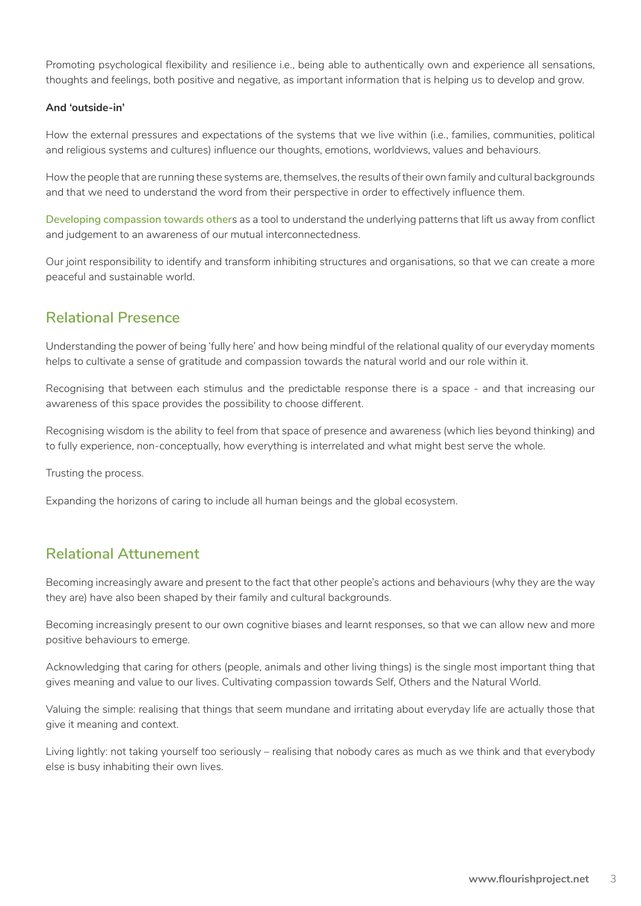Promoting psychological flexibility and resilience i.e., being able to authentically own and experience all sensations, thoughts and feelings, both positive and negative, as important information that is helping us to develop and grow.

#### **And 'outside-in'**

How the external pressures and expectations of the systems that we live within (i.e., families, communities, political and religious systems and cultures) influence our thoughts, emotions, worldviews, values and behaviours.

How the people that are running these systems are, themselves, the results of their own family and cultural backgrounds and that we need to understand the word from their perspective in order to effectively influence them.

**Developing compassion towards other**s as a tool to understand the underlying patterns that lift us away from conflict and judgement to an awareness of our mutual interconnectedness.

Our joint responsibility to identify and transform inhibiting structures and organisations, so that we can create a more peaceful and sustainable world.

### **Relational Presence**

Understanding the power of being 'fully here' and how being mindful of the relational quality of our everyday moments helps to cultivate a sense of gratitude and compassion towards the natural world and our role within it.

Recognising that between each stimulus and the predictable response there is a space - and that increasing our awareness of this space provides the possibility to choose different.

Recognising wisdom is the ability to feel from that space of presence and awareness (which lies beyond thinking) and to fully experience, non-conceptually, how everything is interrelated and what might best serve the whole.

Trusting the process.

Expanding the horizons of caring to include all human beings and the global ecosystem.

## **Relational Attunement**

Becoming increasingly aware and present to the fact that other people's actions and behaviours (why they are the way they are) have also been shaped by their family and cultural backgrounds.

Becoming increasingly present to our own cognitive biases and learnt responses, so that we can allow new and more positive behaviours to emerge.

Acknowledging that caring for others (people, animals and other living things) is the single most important thing that gives meaning and value to our lives. Cultivating compassion towards Self, Others and the Natural World.

Valuing the simple: realising that things that seem mundane and irritating about everyday life are actually those that give it meaning and context.

Living lightly: not taking yourself too seriously – realising that nobody cares as much as we think and that everybody else is busy inhabiting their own lives.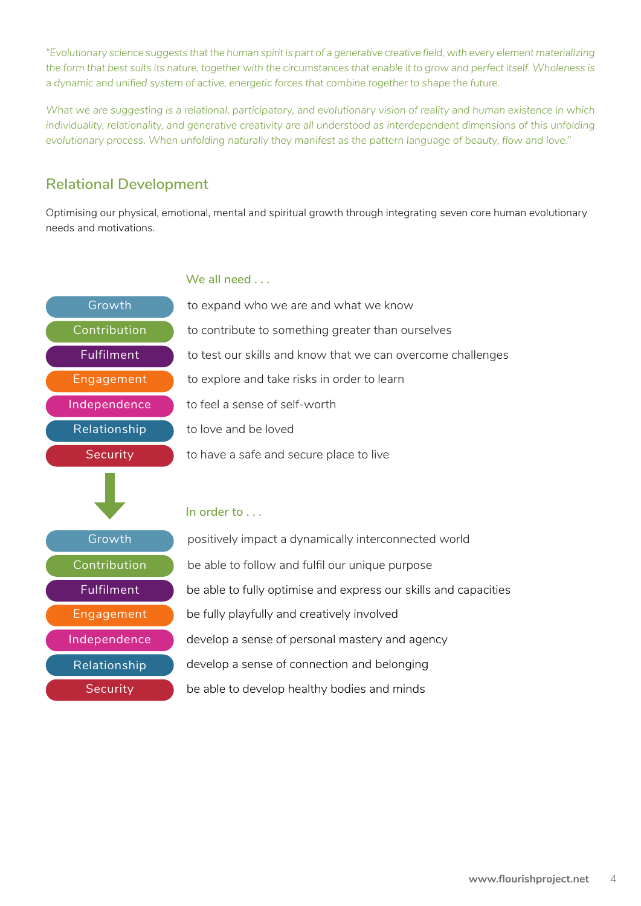*"Evolutionary science suggests that the human spirit is part of a generative creative field, with every element materializing the form that best suits its nature, together with the circumstances that enable it to grow and perfect itself. Wholeness is a dynamic and unified system of active, energetic forces that combine together to shape the future.*

*What we are suggesting is a relational, participatory, and evolutionary vision of reality and human existence in which individuality, relationality, and generative creativity are all understood as interdependent dimensions of this unfolding evolutionary process. When unfolding naturally they manifest as the pattern language of beauty, flow and love."*

# **Relational Development**

Optimising our physical, emotional, mental and spiritual growth through integrating seven core human evolutionary needs and motivations.



#### **We all need . . .**

to love and be loved to feel a sense of self-worth to explore and take risks in order to learn to test our skills and know that we can overcome challenges to contribute to something greater than ourselves to expand who we are and what we know to have a safe and secure place to live

#### **In order to . . .**

be able to follow and fulfil our unique purpose positively impact a dynamically interconnected world be able to fully optimise and express our skills and capacities be fully playfully and creatively involved develop a sense of personal mastery and agency develop a sense of connection and belonging be able to develop healthy bodies and minds